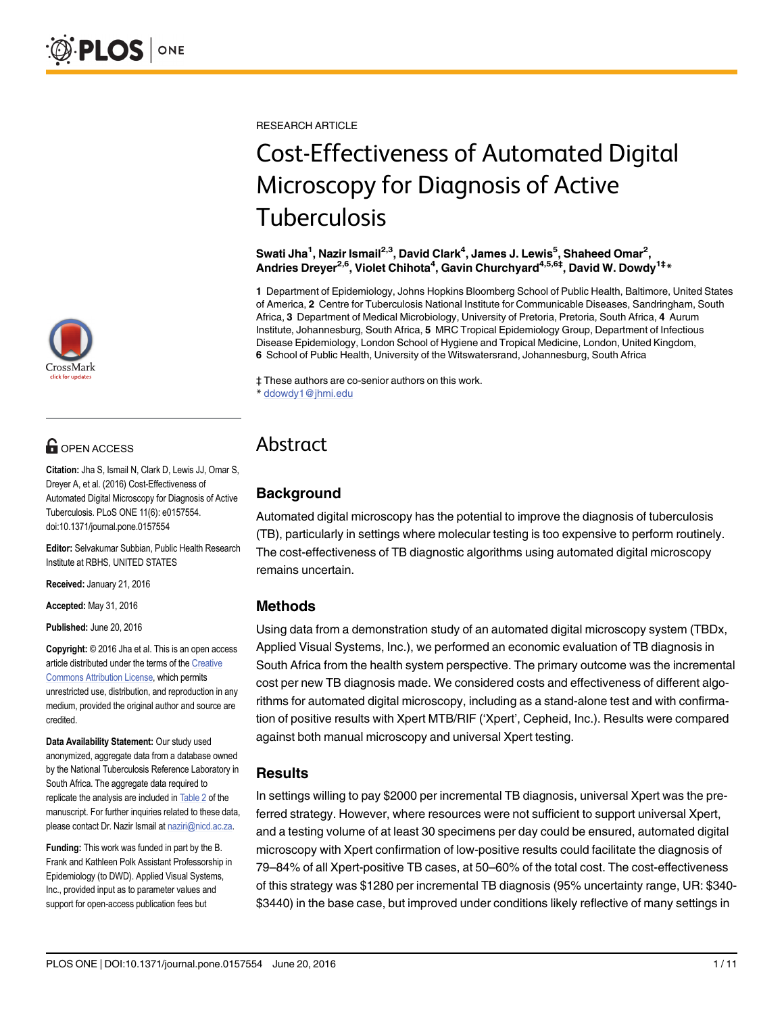

# **OPEN ACCESS**

Citation: Jha S, Ismail N, Clark D, Lewis JJ, Omar S, Dreyer A, et al. (2016) Cost-Effectiveness of Automated Digital Microscopy for Diagnosis of Active Tuberculosis. PLoS ONE 11(6): e0157554. doi:10.1371/journal.pone.0157554

Editor: Selvakumar Subbian, Public Health Research Institute at RBHS, UNITED STATES

Received: January 21, 2016

Accepted: May 31, 2016

Published: June 20, 2016

Copyright: © 2016 Jha et al. This is an open access article distributed under the terms of the [Creative](http://creativecommons.org/licenses/by/4.0/) [Commons Attribution License](http://creativecommons.org/licenses/by/4.0/), which permits unrestricted use, distribution, and reproduction in any medium, provided the original author and source are credited.

Data Availability Statement: Our study used anonymized, aggregate data from a database owned by the National Tuberculosis Reference Laboratory in South Africa. The aggregate data required to replicate the analysis are included in [Table 2](#page-4-0) of the manuscript. For further inquiries related to these data, please contact Dr. Nazir Ismail at naziri@nicd.ac.za.

Funding: This work was funded in part by the B. Frank and Kathleen Polk Assistant Professorship in Epidemiology (to DWD). Applied Visual Systems, Inc., provided input as to parameter values and support for open-access publication fees but

<span id="page-0-0"></span>RESEARCH ARTICLE

# Cost-Effectiveness of Automated Digital Microscopy for Diagnosis of Active Tuberculosis

Swati Jha $^1$ , Nazir Ismail $^{2,3}$ , David Clark $^4$ , James J. Lewis $^5$ , Shaheed Omar $^2$ , Andries Dreyer<sup>2,6</sup>, Violet Chihota<sup>4</sup>, Gavin Churchyard<sup>4,5,6‡</sup>, David W. Dowdy<sup>1‡</sup>\*

1 Department of Epidemiology, Johns Hopkins Bloomberg School of Public Health, Baltimore, United States of America, 2 Centre for Tuberculosis National Institute for Communicable Diseases, Sandringham, South Africa, 3 Department of Medical Microbiology, University of Pretoria, Pretoria, South Africa, 4 Aurum Institute, Johannesburg, South Africa, 5 MRC Tropical Epidemiology Group, Department of Infectious Disease Epidemiology, London School of Hygiene and Tropical Medicine, London, United Kingdom, 6 School of Public Health, University of the Witswatersrand, Johannesburg, South Africa

‡ These authors are co-senior authors on this work.

\* ddowdy1@jhmi.edu

# Abstract

# **Background**

Automated digital microscopy has the potential to improve the diagnosis of tuberculosis (TB), particularly in settings where molecular testing is too expensive to perform routinely. The cost-effectiveness of TB diagnostic algorithms using automated digital microscopy remains uncertain.

# Methods

Using data from a demonstration study of an automated digital microscopy system (TBDx, Applied Visual Systems, Inc.), we performed an economic evaluation of TB diagnosis in South Africa from the health system perspective. The primary outcome was the incremental cost per new TB diagnosis made. We considered costs and effectiveness of different algorithms for automated digital microscopy, including as a stand-alone test and with confirmation of positive results with Xpert MTB/RIF ('Xpert', Cepheid, Inc.). Results were compared against both manual microscopy and universal Xpert testing.

# Results

In settings willing to pay \$2000 per incremental TB diagnosis, universal Xpert was the preferred strategy. However, where resources were not sufficient to support universal Xpert, and a testing volume of at least 30 specimens per day could be ensured, automated digital microscopy with Xpert confirmation of low-positive results could facilitate the diagnosis of 79–84% of all Xpert-positive TB cases, at 50–60% of the total cost. The cost-effectiveness of this strategy was \$1280 per incremental TB diagnosis (95% uncertainty range, UR: \$340- \$3440) in the base case, but improved under conditions likely reflective of many settings in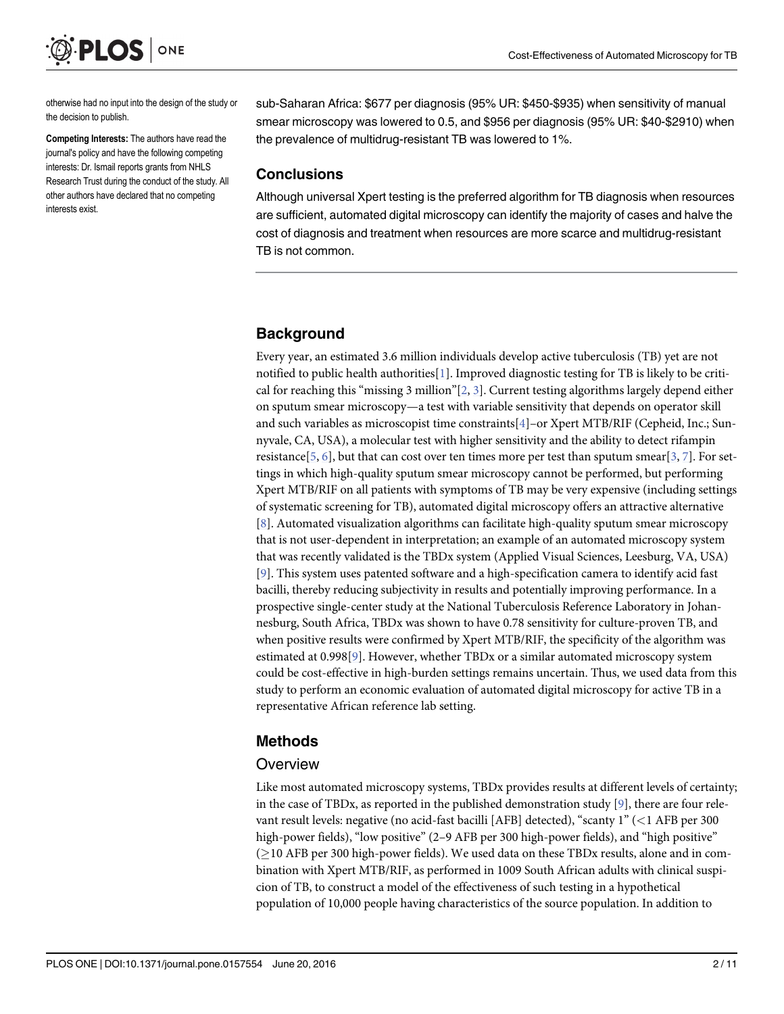<span id="page-1-0"></span>

otherwise had no input into the design of the study or the decision to publish.

Competing Interests: The authors have read the journal's policy and have the following competing interests: Dr. Ismail reports grants from NHLS Research Trust during the conduct of the study. All other authors have declared that no competing interests exist.

sub-Saharan Africa: \$677 per diagnosis (95% UR: \$450-\$935) when sensitivity of manual smear microscopy was lowered to 0.5, and \$956 per diagnosis (95% UR: \$40-\$2910) when the prevalence of multidrug-resistant TB was lowered to 1%.

#### **Conclusions**

Although universal Xpert testing is the preferred algorithm for TB diagnosis when resources are sufficient, automated digital microscopy can identify the majority of cases and halve the cost of diagnosis and treatment when resources are more scarce and multidrug-resistant TB is not common.

#### **Background**

Every year, an estimated 3.6 million individuals develop active tuberculosis (TB) yet are not notified to public health authorities[\[1](#page-8-0)]. Improved diagnostic testing for TB is likely to be criti-cal for reaching this "missing [3](#page-8-0) million" $[2, 3]$  $[2, 3]$ . Current testing algorithms largely depend either on sputum smear microscopy—a test with variable sensitivity that depends on operator skill and such variables as microscopist time constraints[[4\]](#page-8-0)–or Xpert MTB/RIF (Cepheid, Inc.; Sunnyvale, CA, USA), a molecular test with higher sensitivity and the ability to detect rifampin resistance[\[5](#page-8-0), [6](#page-8-0)], but that can cost over ten times more per test than sputum smear[[3,](#page-8-0) [7\]](#page-8-0). For settings in which high-quality sputum smear microscopy cannot be performed, but performing Xpert MTB/RIF on all patients with symptoms of TB may be very expensive (including settings of systematic screening for TB), automated digital microscopy offers an attractive alternative [\[8](#page-9-0)]. Automated visualization algorithms can facilitate high-quality sputum smear microscopy that is not user-dependent in interpretation; an example of an automated microscopy system that was recently validated is the TBDx system (Applied Visual Sciences, Leesburg, VA, USA) [\[9](#page-9-0)]. This system uses patented software and a high-specification camera to identify acid fast bacilli, thereby reducing subjectivity in results and potentially improving performance. In a prospective single-center study at the National Tuberculosis Reference Laboratory in Johannesburg, South Africa, TBDx was shown to have 0.78 sensitivity for culture-proven TB, and when positive results were confirmed by Xpert MTB/RIF, the specificity of the algorithm was estimated at 0.998[[9\]](#page-9-0). However, whether TBDx or a similar automated microscopy system could be cost-effective in high-burden settings remains uncertain. Thus, we used data from this study to perform an economic evaluation of automated digital microscopy for active TB in a representative African reference lab setting.

#### Methods

#### **Overview**

Like most automated microscopy systems, TBDx provides results at different levels of certainty; in the case of TBDx, as reported in the published demonstration study  $[9]$  $[9]$ , there are four relevant result levels: negative (no acid-fast bacilli [AFB] detected), "scanty 1" (<1 AFB per 300 high-power fields), "low positive" (2–9 AFB per 300 high-power fields), and "high positive"  $(>10$  AFB per 300 high-power fields). We used data on these TBDx results, alone and in combination with Xpert MTB/RIF, as performed in 1009 South African adults with clinical suspicion of TB, to construct a model of the effectiveness of such testing in a hypothetical population of 10,000 people having characteristics of the source population. In addition to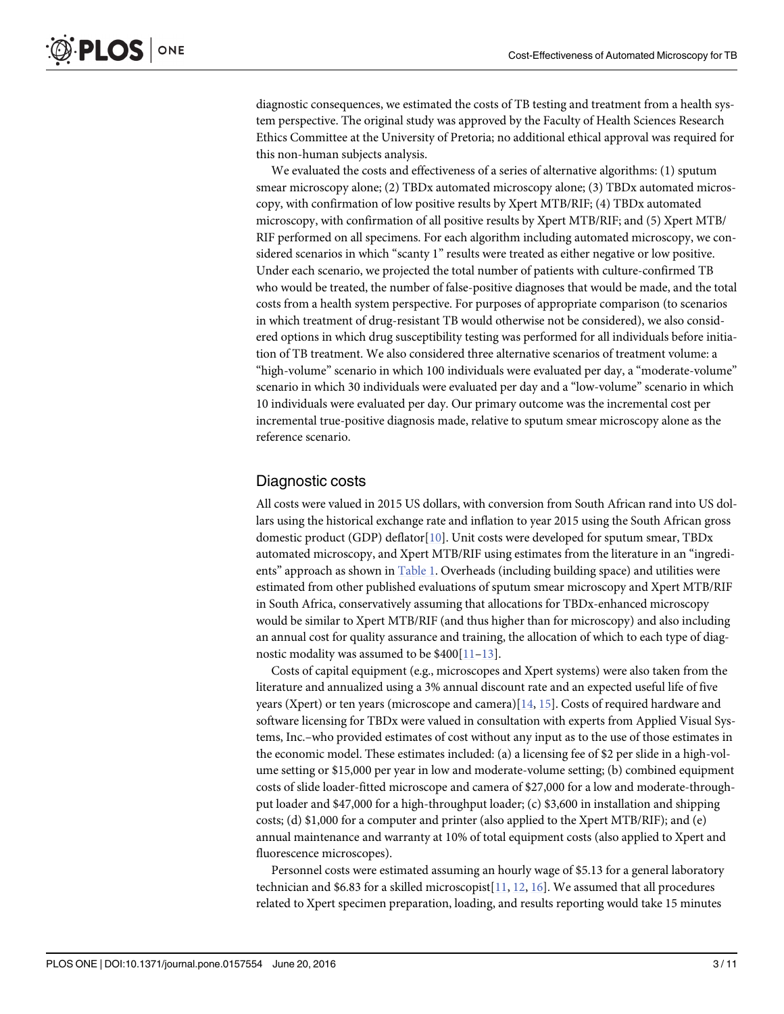<span id="page-2-0"></span>diagnostic consequences, we estimated the costs of TB testing and treatment from a health system perspective. The original study was approved by the Faculty of Health Sciences Research Ethics Committee at the University of Pretoria; no additional ethical approval was required for this non-human subjects analysis.

We evaluated the costs and effectiveness of a series of alternative algorithms: (1) sputum smear microscopy alone; (2) TBDx automated microscopy alone; (3) TBDx automated microscopy, with confirmation of low positive results by Xpert MTB/RIF; (4) TBDx automated microscopy, with confirmation of all positive results by Xpert MTB/RIF; and (5) Xpert MTB/ RIF performed on all specimens. For each algorithm including automated microscopy, we considered scenarios in which "scanty 1" results were treated as either negative or low positive. Under each scenario, we projected the total number of patients with culture-confirmed TB who would be treated, the number of false-positive diagnoses that would be made, and the total costs from a health system perspective. For purposes of appropriate comparison (to scenarios in which treatment of drug-resistant TB would otherwise not be considered), we also considered options in which drug susceptibility testing was performed for all individuals before initiation of TB treatment. We also considered three alternative scenarios of treatment volume: a "high-volume" scenario in which 100 individuals were evaluated per day, a "moderate-volume" scenario in which 30 individuals were evaluated per day and a "low-volume" scenario in which 10 individuals were evaluated per day. Our primary outcome was the incremental cost per incremental true-positive diagnosis made, relative to sputum smear microscopy alone as the reference scenario.

#### Diagnostic costs

All costs were valued in 2015 US dollars, with conversion from South African rand into US dollars using the historical exchange rate and inflation to year 2015 using the South African gross domestic product (GDP) deflator[\[10\]](#page-9-0). Unit costs were developed for sputum smear, TBDx automated microscopy, and Xpert MTB/RIF using estimates from the literature in an "ingredients" approach as shown in [Table 1.](#page-3-0) Overheads (including building space) and utilities were estimated from other published evaluations of sputum smear microscopy and Xpert MTB/RIF in South Africa, conservatively assuming that allocations for TBDx-enhanced microscopy would be similar to Xpert MTB/RIF (and thus higher than for microscopy) and also including an annual cost for quality assurance and training, the allocation of which to each type of diagnostic modality was assumed to be  $$400[11-13]$  $$400[11-13]$  $$400[11-13]$  $$400[11-13]$ .

Costs of capital equipment (e.g., microscopes and Xpert systems) were also taken from the literature and annualized using a 3% annual discount rate and an expected useful life of five years (Xpert) or ten years (microscope and camera)[[14,](#page-9-0) [15\]](#page-9-0). Costs of required hardware and software licensing for TBDx were valued in consultation with experts from Applied Visual Systems, Inc.–who provided estimates of cost without any input as to the use of those estimates in the economic model. These estimates included: (a) a licensing fee of \$2 per slide in a high-volume setting or \$15,000 per year in low and moderate-volume setting; (b) combined equipment costs of slide loader-fitted microscope and camera of \$27,000 for a low and moderate-throughput loader and \$47,000 for a high-throughput loader; (c) \$3,600 in installation and shipping costs; (d) \$1,000 for a computer and printer (also applied to the Xpert MTB/RIF); and (e) annual maintenance and warranty at 10% of total equipment costs (also applied to Xpert and fluorescence microscopes).

Personnel costs were estimated assuming an hourly wage of \$5.13 for a general laboratory technician and \$6.83 for a skilled microscopist $[11, 12, 16]$  $[11, 12, 16]$  $[11, 12, 16]$  $[11, 12, 16]$  $[11, 12, 16]$  $[11, 12, 16]$  $[11, 12, 16]$ . We assumed that all procedures related to Xpert specimen preparation, loading, and results reporting would take 15 minutes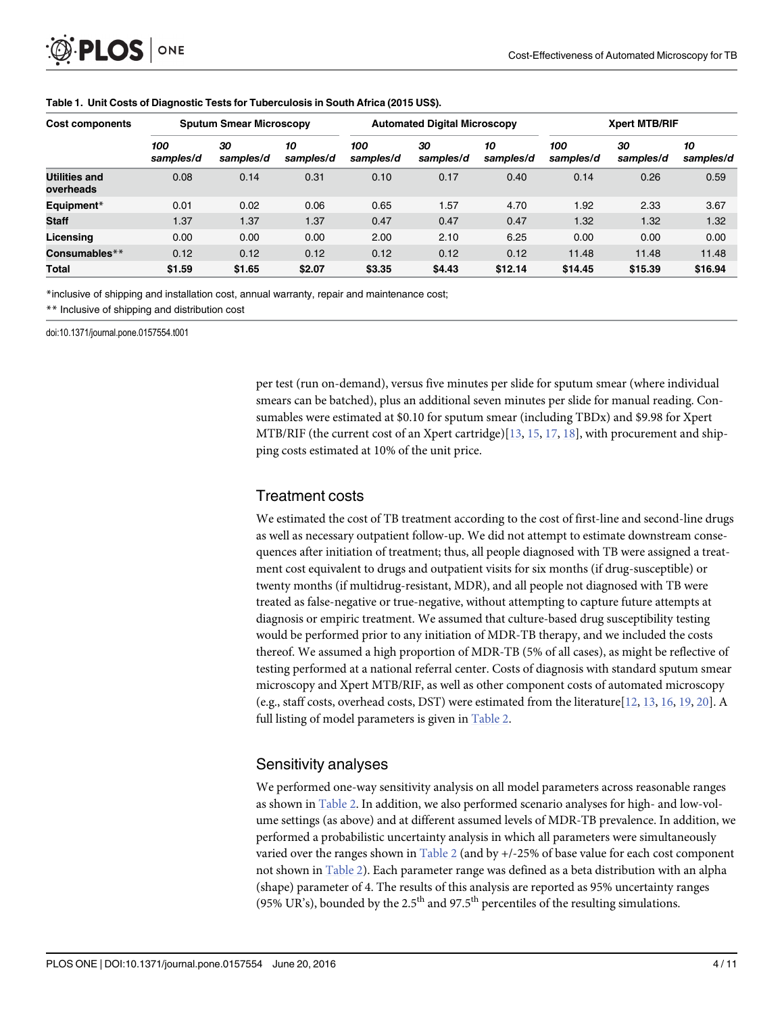<span id="page-3-0"></span>

| Cost components                   | <b>Sputum Smear Microscopy</b> |                 |                 |                  | <b>Automated Digital Microscopy</b> |                 | <b>Xpert MTB/RIF</b> |                 |                 |  |
|-----------------------------------|--------------------------------|-----------------|-----------------|------------------|-------------------------------------|-----------------|----------------------|-----------------|-----------------|--|
|                                   | 100<br>samples/d               | 30<br>samples/d | 10<br>samples/d | 100<br>samples/d | 30<br>samples/d                     | 10<br>samples/d | 100<br>samples/d     | 30<br>samples/d | 10<br>samples/d |  |
| <b>Utilities and</b><br>overheads | 0.08                           | 0.14            | 0.31            | 0.10             | 0.17                                | 0.40            | 0.14                 | 0.26            | 0.59            |  |
| Equipment*                        | 0.01                           | 0.02            | 0.06            | 0.65             | 1.57                                | 4.70            | 1.92                 | 2.33            | 3.67            |  |
| <b>Staff</b>                      | 1.37                           | 1.37            | 1.37            | 0.47             | 0.47                                | 0.47            | 1.32                 | 1.32            | 1.32            |  |
| Licensing                         | 0.00                           | 0.00            | 0.00            | 2.00             | 2.10                                | 6.25            | 0.00                 | 0.00            | 0.00            |  |
| Consumables**                     | 0.12                           | 0.12            | 0.12            | 0.12             | 0.12                                | 0.12            | 11.48                | 11.48           | 11.48           |  |
| <b>Total</b>                      | \$1.59                         | \$1.65          | \$2.07          | \$3.35           | \$4.43                              | \$12.14         | \$14.45              | \$15.39         | \$16.94         |  |

#### [Table 1.](#page-2-0) Unit Costs of Diagnostic Tests for Tuberculosis in South Africa (2015 US\$).

\*inclusive of shipping and installation cost, annual warranty, repair and maintenance cost;

\*\* Inclusive of shipping and distribution cost

doi:10.1371/journal.pone.0157554.t001

per test (run on-demand), versus five minutes per slide for sputum smear (where individual smears can be batched), plus an additional seven minutes per slide for manual reading. Consumables were estimated at \$0.10 for sputum smear (including TBDx) and \$9.98 for Xpert MTB/RIF (the current cost of an Xpert cartridge)[[13](#page-9-0), [15](#page-9-0), [17](#page-9-0), [18](#page-9-0)], with procurement and shipping costs estimated at 10% of the unit price.

#### Treatment costs

We estimated the cost of TB treatment according to the cost of first-line and second-line drugs as well as necessary outpatient follow-up. We did not attempt to estimate downstream consequences after initiation of treatment; thus, all people diagnosed with TB were assigned a treatment cost equivalent to drugs and outpatient visits for six months (if drug-susceptible) or twenty months (if multidrug-resistant, MDR), and all people not diagnosed with TB were treated as false-negative or true-negative, without attempting to capture future attempts at diagnosis or empiric treatment. We assumed that culture-based drug susceptibility testing would be performed prior to any initiation of MDR-TB therapy, and we included the costs thereof. We assumed a high proportion of MDR-TB (5% of all cases), as might be reflective of testing performed at a national referral center. Costs of diagnosis with standard sputum smear microscopy and Xpert MTB/RIF, as well as other component costs of automated microscopy (e.g., staff costs, overhead costs, DST) were estimated from the literature  $[12, 13, 16, 19, 20]$  $[12, 13, 16, 19, 20]$  $[12, 13, 16, 19, 20]$  $[12, 13, 16, 19, 20]$  $[12, 13, 16, 19, 20]$  $[12, 13, 16, 19, 20]$  $[12, 13, 16, 19, 20]$  $[12, 13, 16, 19, 20]$  $[12, 13, 16, 19, 20]$ . A full listing of model parameters is given in [Table 2](#page-4-0).

# Sensitivity analyses

We performed one-way sensitivity analysis on all model parameters across reasonable ranges as shown in [Table 2](#page-4-0). In addition, we also performed scenario analyses for high- and low-volume settings (as above) and at different assumed levels of MDR-TB prevalence. In addition, we performed a probabilistic uncertainty analysis in which all parameters were simultaneously varied over the ranges shown in [Table 2](#page-4-0) (and by +/-25% of base value for each cost component not shown in [Table 2](#page-4-0)). Each parameter range was defined as a beta distribution with an alpha (shape) parameter of 4. The results of this analysis are reported as 95% uncertainty ranges (95% UR's), bounded by the 2.5<sup>th</sup> and 97.5<sup>th</sup> percentiles of the resulting simulations.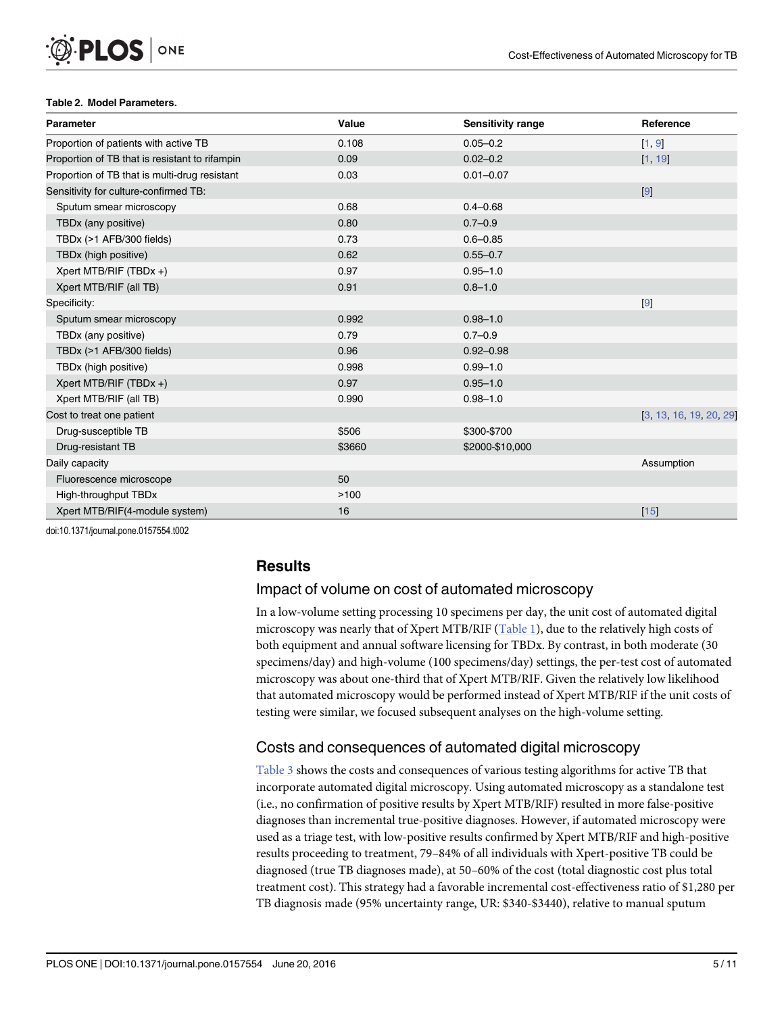#### <span id="page-4-0"></span>[Table 2.](#page-0-0) Model Parameters.

| <b>Parameter</b>                               | Value  | <b>Sensitivity range</b> | Reference               |
|------------------------------------------------|--------|--------------------------|-------------------------|
| Proportion of patients with active TB          | 0.108  | $0.05 - 0.2$             | [1, 9]                  |
| Proportion of TB that is resistant to rifampin | 0.09   | $0.02 - 0.2$             | [1, 19]                 |
| Proportion of TB that is multi-drug resistant  | 0.03   | $0.01 - 0.07$            |                         |
| Sensitivity for culture-confirmed TB:          |        |                          | 9                       |
| Sputum smear microscopy                        | 0.68   | $0.4 - 0.68$             |                         |
| TBDx (any positive)                            | 0.80   | $0.7 - 0.9$              |                         |
| TBDx (>1 AFB/300 fields)                       | 0.73   | $0.6 - 0.85$             |                         |
| TBDx (high positive)                           | 0.62   | $0.55 - 0.7$             |                         |
| Xpert MTB/RIF (TBDx +)                         | 0.97   | $0.95 - 1.0$             |                         |
| Xpert MTB/RIF (all TB)                         | 0.91   | $0.8 - 1.0$              |                         |
| Specificity:                                   |        |                          | 9                       |
| Sputum smear microscopy                        | 0.992  | $0.98 - 1.0$             |                         |
| TBDx (any positive)                            | 0.79   | $0.7 - 0.9$              |                         |
| TBDx (>1 AFB/300 fields)                       | 0.96   | $0.92 - 0.98$            |                         |
| TBDx (high positive)                           | 0.998  | $0.99 - 1.0$             |                         |
| Xpert MTB/RIF (TBDx +)                         | 0.97   | $0.95 - 1.0$             |                         |
| Xpert MTB/RIF (all TB)                         | 0.990  | $0.98 - 1.0$             |                         |
| Cost to treat one patient                      |        |                          | [3, 13, 16, 19, 20, 29] |
| Drug-susceptible TB                            | \$506  | \$300-\$700              |                         |
| Drug-resistant TB                              | \$3660 | \$2000-\$10,000          |                         |
| Daily capacity                                 |        |                          | Assumption              |
| Fluorescence microscope                        | 50     |                          |                         |
| High-throughput TBDx                           | >100   |                          |                         |
| Xpert MTB/RIF(4-module system)                 | 16     |                          | $15$                    |

doi:10.1371/journal.pone.0157554.t002

# **Results**

# Impact of volume on cost of automated microscopy

In a low-volume setting processing 10 specimens per day, the unit cost of automated digital microscopy was nearly that of Xpert MTB/RIF ([Table 1\)](#page-3-0), due to the relatively high costs of both equipment and annual software licensing for TBDx. By contrast, in both moderate (30 specimens/day) and high-volume (100 specimens/day) settings, the per-test cost of automated microscopy was about one-third that of Xpert MTB/RIF. Given the relatively low likelihood that automated microscopy would be performed instead of Xpert MTB/RIF if the unit costs of testing were similar, we focused subsequent analyses on the high-volume setting.

# Costs and consequences of automated digital microscopy

[Table 3](#page-5-0) shows the costs and consequences of various testing algorithms for active TB that incorporate automated digital microscopy. Using automated microscopy as a standalone test (i.e., no confirmation of positive results by Xpert MTB/RIF) resulted in more false-positive diagnoses than incremental true-positive diagnoses. However, if automated microscopy were used as a triage test, with low-positive results confirmed by Xpert MTB/RIF and high-positive results proceeding to treatment, 79–84% of all individuals with Xpert-positive TB could be diagnosed (true TB diagnoses made), at 50–60% of the cost (total diagnostic cost plus total treatment cost). This strategy had a favorable incremental cost-effectiveness ratio of \$1,280 per TB diagnosis made (95% uncertainty range, UR: \$340-\$3440), relative to manual sputum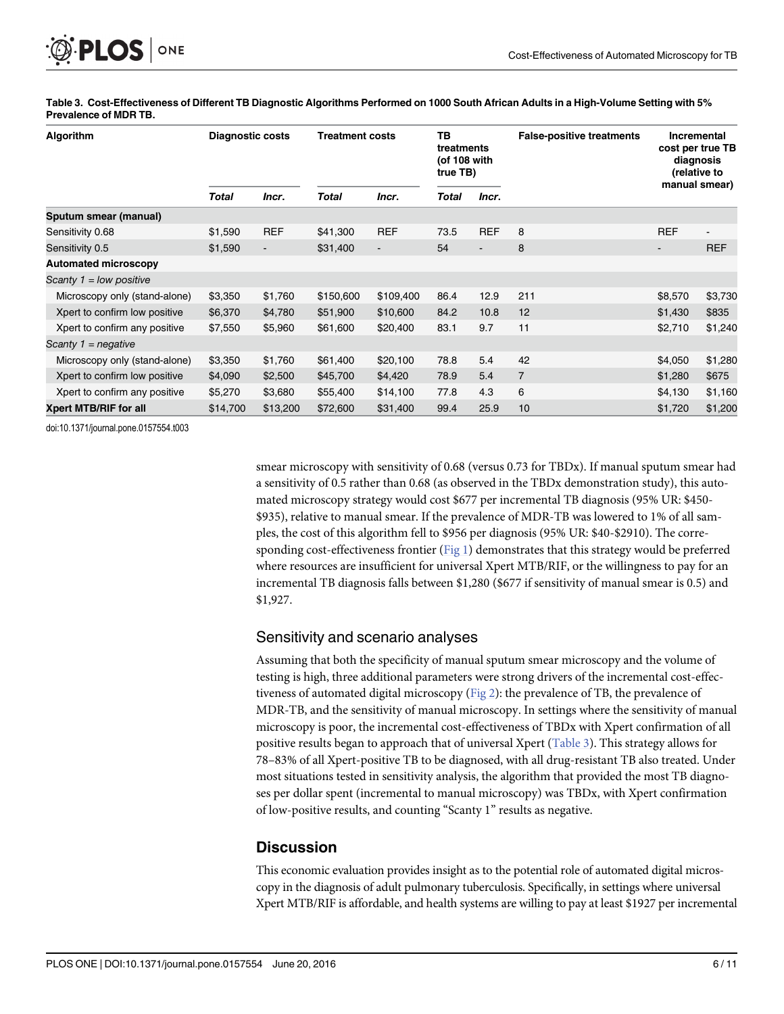<span id="page-5-0"></span>

| Algorithm                     | <b>Diagnostic costs</b> |                          | <b>Treatment costs</b> |                | тв<br>treatments<br>(of 108 with<br>true TB) |                          | <b>False-positive treatments</b> | Incremental<br>cost per true TB<br>diagnosis<br>(relative to<br>manual smear) |                |
|-------------------------------|-------------------------|--------------------------|------------------------|----------------|----------------------------------------------|--------------------------|----------------------------------|-------------------------------------------------------------------------------|----------------|
|                               | <b>Total</b>            | Incr.                    | Total                  | Incr.          | Total                                        | Incr.                    |                                  |                                                                               |                |
| Sputum smear (manual)         |                         |                          |                        |                |                                              |                          |                                  |                                                                               |                |
| Sensitivity 0.68              | \$1,590                 | <b>REF</b>               | \$41,300               | <b>REF</b>     | 73.5                                         | <b>REF</b>               | 8                                | <b>REF</b>                                                                    | $\blacksquare$ |
| Sensitivity 0.5               | \$1,590                 | $\overline{\phantom{a}}$ | \$31,400               | $\blacksquare$ | 54                                           | $\overline{\phantom{0}}$ | 8                                | $\blacksquare$                                                                | <b>REF</b>     |
| <b>Automated microscopy</b>   |                         |                          |                        |                |                                              |                          |                                  |                                                                               |                |
| Scanty $1 =$ low positive     |                         |                          |                        |                |                                              |                          |                                  |                                                                               |                |
| Microscopy only (stand-alone) | \$3,350                 | \$1,760                  | \$150,600              | \$109,400      | 86.4                                         | 12.9                     | 211                              | \$8,570                                                                       | \$3,730        |
| Xpert to confirm low positive | \$6,370                 | \$4,780                  | \$51,900               | \$10,600       | 84.2                                         | 10.8                     | 12                               | \$1,430                                                                       | \$835          |
| Xpert to confirm any positive | \$7,550                 | \$5,960                  | \$61,600               | \$20,400       | 83.1                                         | 9.7                      | 11                               | \$2,710                                                                       | \$1,240        |
| Scanty $1 =$ negative         |                         |                          |                        |                |                                              |                          |                                  |                                                                               |                |
| Microscopy only (stand-alone) | \$3,350                 | \$1,760                  | \$61,400               | \$20,100       | 78.8                                         | 5.4                      | 42                               | \$4,050                                                                       | \$1,280        |
| Xpert to confirm low positive | \$4,090                 | \$2,500                  | \$45,700               | \$4,420        | 78.9                                         | 5.4                      | $\overline{7}$                   | \$1,280                                                                       | \$675          |
| Xpert to confirm any positive | \$5,270                 | \$3,680                  | \$55,400               | \$14,100       | 77.8                                         | 4.3                      | 6                                | \$4,130                                                                       | \$1,160        |
| <b>Xpert MTB/RIF for all</b>  | \$14,700                | \$13,200                 | \$72,600               | \$31,400       | 99.4                                         | 25.9                     | 10                               | \$1,720                                                                       | \$1,200        |

[Table 3.](#page-4-0) Cost-Effectiveness of Different TB Diagnostic Algorithms Performed on 1000 South African Adults in a High-Volume Setting with 5% Prevalence of MDR TB.

doi:10.1371/journal.pone.0157554.t003

smear microscopy with sensitivity of 0.68 (versus 0.73 for TBDx). If manual sputum smear had a sensitivity of 0.5 rather than 0.68 (as observed in the TBDx demonstration study), this automated microscopy strategy would cost \$677 per incremental TB diagnosis (95% UR: \$450- \$935), relative to manual smear. If the prevalence of MDR-TB was lowered to 1% of all samples, the cost of this algorithm fell to \$956 per diagnosis (95% UR: \$40-\$2910). The corresponding cost-effectiveness frontier  $(Fig_1)$  demonstrates that this strategy would be preferred where resources are insufficient for universal Xpert MTB/RIF, or the willingness to pay for an incremental TB diagnosis falls between \$1,280 (\$677 if sensitivity of manual smear is 0.5) and \$1,927.

# Sensitivity and scenario analyses

Assuming that both the specificity of manual sputum smear microscopy and the volume of testing is high, three additional parameters were strong drivers of the incremental cost-effectiveness of automated digital microscopy [\(Fig 2\)](#page-7-0): the prevalence of TB, the prevalence of MDR-TB, and the sensitivity of manual microscopy. In settings where the sensitivity of manual microscopy is poor, the incremental cost-effectiveness of TBDx with Xpert confirmation of all positive results began to approach that of universal Xpert (Table 3). This strategy allows for 78–83% of all Xpert-positive TB to be diagnosed, with all drug-resistant TB also treated. Under most situations tested in sensitivity analysis, the algorithm that provided the most TB diagnoses per dollar spent (incremental to manual microscopy) was TBDx, with Xpert confirmation of low-positive results, and counting "Scanty 1" results as negative.

# **Discussion**

This economic evaluation provides insight as to the potential role of automated digital microscopy in the diagnosis of adult pulmonary tuberculosis. Specifically, in settings where universal Xpert MTB/RIF is affordable, and health systems are willing to pay at least \$1927 per incremental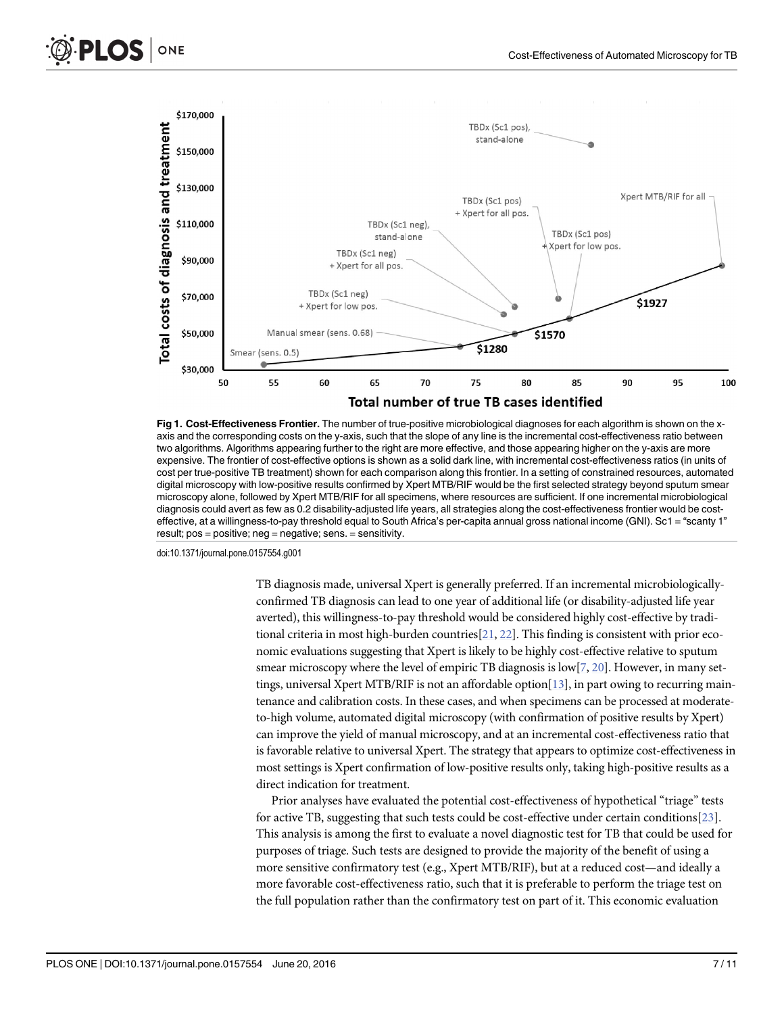<span id="page-6-0"></span>



[Fig 1.](#page-5-0) Cost-Effectiveness Frontier. The number of true-positive microbiological diagnoses for each algorithm is shown on the xaxis and the corresponding costs on the y-axis, such that the slope of any line is the incremental cost-effectiveness ratio between two algorithms. Algorithms appearing further to the right are more effective, and those appearing higher on the y-axis are more expensive. The frontier of cost-effective options is shown as a solid dark line, with incremental cost-effectiveness ratios (in units of cost per true-positive TB treatment) shown for each comparison along this frontier. In a setting of constrained resources, automated digital microscopy with low-positive results confirmed by Xpert MTB/RIF would be the first selected strategy beyond sputum smear microscopy alone, followed by Xpert MTB/RIF for all specimens, where resources are sufficient. If one incremental microbiological diagnosis could avert as few as 0.2 disability-adjusted life years, all strategies along the cost-effectiveness frontier would be costeffective, at a willingness-to-pay threshold equal to South Africa's per-capita annual gross national income (GNI). Sc1 = "scanty 1" result; pos = positive; neg = negative; sens. = sensitivity.

doi:10.1371/journal.pone.0157554.g001

TB diagnosis made, universal Xpert is generally preferred. If an incremental microbiologicallyconfirmed TB diagnosis can lead to one year of additional life (or disability-adjusted life year averted), this willingness-to-pay threshold would be considered highly cost-effective by traditional criteria in most high-burden countries  $[21, 22]$  $[21, 22]$  $[21, 22]$  $[21, 22]$ . This finding is consistent with prior economic evaluations suggesting that Xpert is likely to be highly cost-effective relative to sputum smear microscopy where the level of empiric TB diagnosis is low[\[7](#page-8-0), [20\]](#page-9-0). However, in many settings, universal Xpert MTB/RIF is not an affordable option[\[13\]](#page-9-0), in part owing to recurring maintenance and calibration costs. In these cases, and when specimens can be processed at moderateto-high volume, automated digital microscopy (with confirmation of positive results by Xpert) can improve the yield of manual microscopy, and at an incremental cost-effectiveness ratio that is favorable relative to universal Xpert. The strategy that appears to optimize cost-effectiveness in most settings is Xpert confirmation of low-positive results only, taking high-positive results as a direct indication for treatment.

Prior analyses have evaluated the potential cost-effectiveness of hypothetical "triage" tests for active TB, suggesting that such tests could be cost-effective under certain conditions[\[23\]](#page-9-0). This analysis is among the first to evaluate a novel diagnostic test for TB that could be used for purposes of triage. Such tests are designed to provide the majority of the benefit of using a more sensitive confirmatory test (e.g., Xpert MTB/RIF), but at a reduced cost—and ideally a more favorable cost-effectiveness ratio, such that it is preferable to perform the triage test on the full population rather than the confirmatory test on part of it. This economic evaluation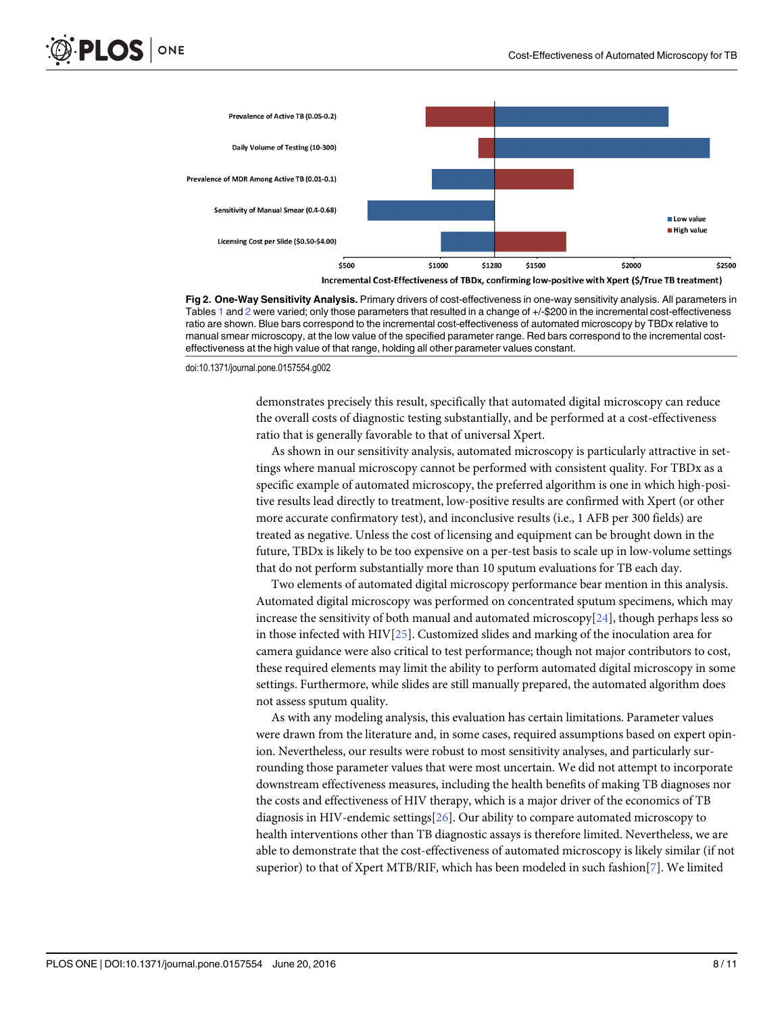<span id="page-7-0"></span>

Incremental Cost-Effectiveness of TBDx, confirming low-positive with Xpert (\$/True TB treatment)

[Fig 2. O](#page-5-0)ne-Way Sensitivity Analysis. Primary drivers of cost-effectiveness in one-way sensitivity analysis. All parameters in Tables [1](#page-3-0) and [2](#page-4-0) were varied; only those parameters that resulted in a change of +/-\$200 in the incremental cost-effectiveness ratio are shown. Blue bars correspond to the incremental cost-effectiveness of automated microscopy by TBDx relative to manual smear microscopy, at the low value of the specified parameter range. Red bars correspond to the incremental costeffectiveness at the high value of that range, holding all other parameter values constant.

doi:10.1371/journal.pone.0157554.g002

demonstrates precisely this result, specifically that automated digital microscopy can reduce the overall costs of diagnostic testing substantially, and be performed at a cost-effectiveness ratio that is generally favorable to that of universal Xpert.

As shown in our sensitivity analysis, automated microscopy is particularly attractive in settings where manual microscopy cannot be performed with consistent quality. For TBDx as a specific example of automated microscopy, the preferred algorithm is one in which high-positive results lead directly to treatment, low-positive results are confirmed with Xpert (or other more accurate confirmatory test), and inconclusive results (i.e., 1 AFB per 300 fields) are treated as negative. Unless the cost of licensing and equipment can be brought down in the future, TBDx is likely to be too expensive on a per-test basis to scale up in low-volume settings that do not perform substantially more than 10 sputum evaluations for TB each day.

Two elements of automated digital microscopy performance bear mention in this analysis. Automated digital microscopy was performed on concentrated sputum specimens, which may increase the sensitivity of both manual and automated microscopy $[24]$  $[24]$  $[24]$ , though perhaps less so in those infected with HIV[[25](#page-9-0)]. Customized slides and marking of the inoculation area for camera guidance were also critical to test performance; though not major contributors to cost, these required elements may limit the ability to perform automated digital microscopy in some settings. Furthermore, while slides are still manually prepared, the automated algorithm does not assess sputum quality.

As with any modeling analysis, this evaluation has certain limitations. Parameter values were drawn from the literature and, in some cases, required assumptions based on expert opinion. Nevertheless, our results were robust to most sensitivity analyses, and particularly surrounding those parameter values that were most uncertain. We did not attempt to incorporate downstream effectiveness measures, including the health benefits of making TB diagnoses nor the costs and effectiveness of HIV therapy, which is a major driver of the economics of TB diagnosis in HIV-endemic settings[[26](#page-9-0)]. Our ability to compare automated microscopy to health interventions other than TB diagnostic assays is therefore limited. Nevertheless, we are able to demonstrate that the cost-effectiveness of automated microscopy is likely similar (if not superior) to that of Xpert MTB/RIF, which has been modeled in such fashion[\[7\]](#page-8-0). We limited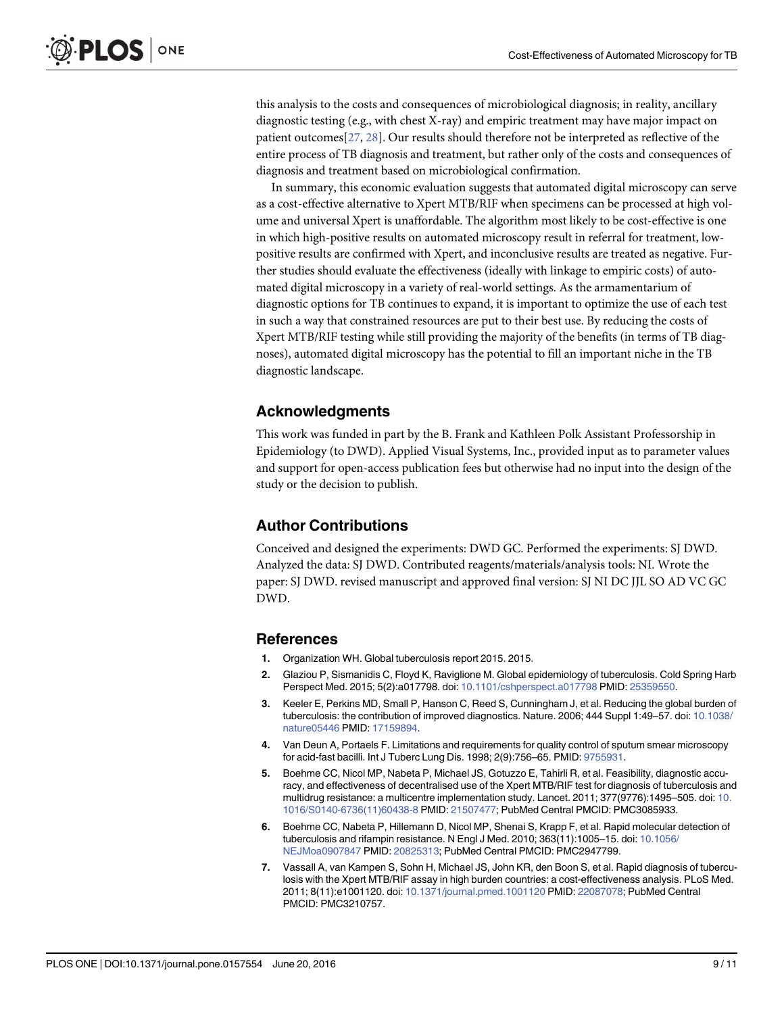<span id="page-8-0"></span>this analysis to the costs and consequences of microbiological diagnosis; in reality, ancillary diagnostic testing (e.g., with chest X-ray) and empiric treatment may have major impact on patient outcomes[[27](#page-9-0), [28](#page-9-0)]. Our results should therefore not be interpreted as reflective of the entire process of TB diagnosis and treatment, but rather only of the costs and consequences of diagnosis and treatment based on microbiological confirmation.

In summary, this economic evaluation suggests that automated digital microscopy can serve as a cost-effective alternative to Xpert MTB/RIF when specimens can be processed at high volume and universal Xpert is unaffordable. The algorithm most likely to be cost-effective is one in which high-positive results on automated microscopy result in referral for treatment, lowpositive results are confirmed with Xpert, and inconclusive results are treated as negative. Further studies should evaluate the effectiveness (ideally with linkage to empiric costs) of automated digital microscopy in a variety of real-world settings. As the armamentarium of diagnostic options for TB continues to expand, it is important to optimize the use of each test in such a way that constrained resources are put to their best use. By reducing the costs of Xpert MTB/RIF testing while still providing the majority of the benefits (in terms of TB diagnoses), automated digital microscopy has the potential to fill an important niche in the TB diagnostic landscape.

# Acknowledgments

This work was funded in part by the B. Frank and Kathleen Polk Assistant Professorship in Epidemiology (to DWD). Applied Visual Systems, Inc., provided input as to parameter values and support for open-access publication fees but otherwise had no input into the design of the study or the decision to publish.

# Author Contributions

Conceived and designed the experiments: DWD GC. Performed the experiments: SJ DWD. Analyzed the data: SJ DWD. Contributed reagents/materials/analysis tools: NI. Wrote the paper: SJ DWD. revised manuscript and approved final version: SJ NI DC JJL SO AD VC GC DWD.

#### References

- [1.](#page-1-0) Organization WH. Global tuberculosis report 2015. 2015.
- [2.](#page-1-0) Glaziou P, Sismanidis C, Floyd K, Raviglione M. Global epidemiology of tuberculosis. Cold Spring Harb Perspect Med. 2015; 5(2):a017798. doi: [10.1101/cshperspect.a017798](http://dx.doi.org/10.1101/cshperspect.a017798) PMID: [25359550](http://www.ncbi.nlm.nih.gov/pubmed/25359550).
- [3.](#page-1-0) Keeler E, Perkins MD, Small P, Hanson C, Reed S, Cunningham J, et al. Reducing the global burden of tuberculosis: the contribution of improved diagnostics. Nature. 2006; 444 Suppl 1:49–57. doi: [10.1038/](http://dx.doi.org/10.1038/nature05446) [nature05446](http://dx.doi.org/10.1038/nature05446) PMID: [17159894](http://www.ncbi.nlm.nih.gov/pubmed/17159894).
- [4.](#page-1-0) Van Deun A, Portaels F. Limitations and requirements for quality control of sputum smear microscopy for acid-fast bacilli. Int J Tuberc Lung Dis. 1998; 2(9):756–65. PMID: [9755931.](http://www.ncbi.nlm.nih.gov/pubmed/9755931)
- [5.](#page-1-0) Boehme CC, Nicol MP, Nabeta P, Michael JS, Gotuzzo E, Tahirli R, et al. Feasibility, diagnostic accuracy, and effectiveness of decentralised use of the Xpert MTB/RIF test for diagnosis of tuberculosis and multidrug resistance: a multicentre implementation study. Lancet. 2011; 377(9776):1495–505. doi: [10.](http://dx.doi.org/10.1016/S0140-6736(11)60438-8) [1016/S0140-6736\(11\)60438-8](http://dx.doi.org/10.1016/S0140-6736(11)60438-8) PMID: [21507477](http://www.ncbi.nlm.nih.gov/pubmed/21507477); PubMed Central PMCID: PMC3085933.
- [6.](#page-1-0) Boehme CC, Nabeta P, Hillemann D, Nicol MP, Shenai S, Krapp F, et al. Rapid molecular detection of tuberculosis and rifampin resistance. N Engl J Med. 2010; 363(11):1005–15. doi: [10.1056/](http://dx.doi.org/10.1056/NEJMoa0907847) [NEJMoa0907847](http://dx.doi.org/10.1056/NEJMoa0907847) PMID: [20825313;](http://www.ncbi.nlm.nih.gov/pubmed/20825313) PubMed Central PMCID: PMC2947799.
- [7.](#page-1-0) Vassall A, van Kampen S, Sohn H, Michael JS, John KR, den Boon S, et al. Rapid diagnosis of tuberculosis with the Xpert MTB/RIF assay in high burden countries: a cost-effectiveness analysis. PLoS Med. 2011; 8(11):e1001120. doi: [10.1371/journal.pmed.1001120](http://dx.doi.org/10.1371/journal.pmed.1001120) PMID: [22087078;](http://www.ncbi.nlm.nih.gov/pubmed/22087078) PubMed Central PMCID: PMC3210757.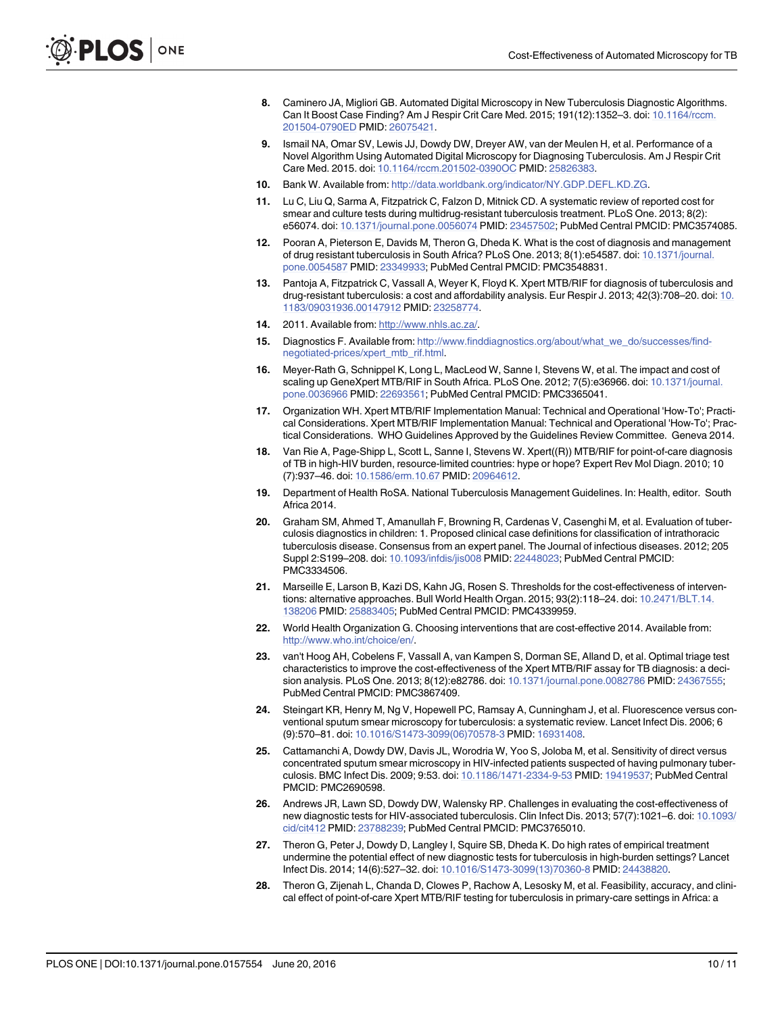- <span id="page-9-0"></span>[8.](#page-1-0) Caminero JA, Migliori GB. Automated Digital Microscopy in New Tuberculosis Diagnostic Algorithms. Can It Boost Case Finding? Am J Respir Crit Care Med. 2015; 191(12):1352–3. doi: [10.1164/rccm.](http://dx.doi.org/10.1164/rccm.201504-0790ED) [201504-0790ED](http://dx.doi.org/10.1164/rccm.201504-0790ED) PMID: [26075421](http://www.ncbi.nlm.nih.gov/pubmed/26075421).
- [9.](#page-1-0) Ismail NA, Omar SV, Lewis JJ, Dowdy DW, Dreyer AW, van der Meulen H, et al. Performance of a Novel Algorithm Using Automated Digital Microscopy for Diagnosing Tuberculosis. Am J Respir Crit Care Med. 2015. doi: [10.1164/rccm.201502-0390OC](http://dx.doi.org/10.1164/rccm.201502-0390OC) PMID: [25826383](http://www.ncbi.nlm.nih.gov/pubmed/25826383).
- [10.](#page-2-0) Bank W. Available from: [http://data.worldbank.org/indicator/NY.GDP.DEFL.KD.ZG.](http://data.worldbank.org/indicator/NY.GDP.DEFL.KD.ZG)
- [11.](#page-2-0) Lu C, Liu Q, Sarma A, Fitzpatrick C, Falzon D, Mitnick CD. A systematic review of reported cost for smear and culture tests during multidrug-resistant tuberculosis treatment. PLoS One. 2013; 8(2): e56074. doi: [10.1371/journal.pone.0056074](http://dx.doi.org/10.1371/journal.pone.0056074) PMID: [23457502;](http://www.ncbi.nlm.nih.gov/pubmed/23457502) PubMed Central PMCID: PMC3574085.
- [12.](#page-2-0) Pooran A, Pieterson E, Davids M, Theron G, Dheda K. What is the cost of diagnosis and management of drug resistant tuberculosis in South Africa? PLoS One. 2013; 8(1):e54587. doi: [10.1371/journal.](http://dx.doi.org/10.1371/journal.pone.0054587) [pone.0054587](http://dx.doi.org/10.1371/journal.pone.0054587) PMID: [23349933](http://www.ncbi.nlm.nih.gov/pubmed/23349933); PubMed Central PMCID: PMC3548831.
- [13.](#page-2-0) Pantoja A, Fitzpatrick C, Vassall A, Weyer K, Floyd K. Xpert MTB/RIF for diagnosis of tuberculosis and drug-resistant tuberculosis: a cost and affordability analysis. Eur Respir J. 2013; 42(3):708-20. doi: [10.](http://dx.doi.org/10.1183/09031936.00147912) [1183/09031936.00147912](http://dx.doi.org/10.1183/09031936.00147912) PMID: [23258774](http://www.ncbi.nlm.nih.gov/pubmed/23258774).
- [14.](#page-2-0) 2011. Available from: [http://www.nhls.ac.za/.](http://www.nhls.ac.za/)
- [15.](#page-2-0) Diagnostics F. Available from: [http://www.finddiagnostics.org/about/what\\_we\\_do/successes/find](http://www.finddiagnostics.org/about/what_we_do/successes/find-negotiated-prices/xpert_mtb_rif.html)[negotiated-prices/xpert\\_mtb\\_rif.html.](http://www.finddiagnostics.org/about/what_we_do/successes/find-negotiated-prices/xpert_mtb_rif.html)
- [16.](#page-2-0) Meyer-Rath G, Schnippel K, Long L, MacLeod W, Sanne I, Stevens W, et al. The impact and cost of scaling up GeneXpert MTB/RIF in South Africa. PLoS One. 2012; 7(5):e36966. doi: [10.1371/journal.](http://dx.doi.org/10.1371/journal.pone.0036966) [pone.0036966](http://dx.doi.org/10.1371/journal.pone.0036966) PMID: [22693561](http://www.ncbi.nlm.nih.gov/pubmed/22693561); PubMed Central PMCID: PMC3365041.
- [17.](#page-3-0) Organization WH. Xpert MTB/RIF Implementation Manual: Technical and Operational 'How-To'; Practical Considerations. Xpert MTB/RIF Implementation Manual: Technical and Operational 'How-To'; Practical Considerations. WHO Guidelines Approved by the Guidelines Review Committee. Geneva 2014.
- [18.](#page-3-0) Van Rie A, Page-Shipp L, Scott L, Sanne I, Stevens W. Xpert((R)) MTB/RIF for point-of-care diagnosis of TB in high-HIV burden, resource-limited countries: hype or hope? Expert Rev Mol Diagn. 2010; 10 (7):937–46. doi: [10.1586/erm.10.67](http://dx.doi.org/10.1586/erm.10.67) PMID: [20964612](http://www.ncbi.nlm.nih.gov/pubmed/20964612).
- [19.](#page-3-0) Department of Health RoSA. National Tuberculosis Management Guidelines. In: Health, editor. South Africa 2014.
- [20.](#page-3-0) Graham SM, Ahmed T, Amanullah F, Browning R, Cardenas V, Casenghi M, et al. Evaluation of tuberculosis diagnostics in children: 1. Proposed clinical case definitions for classification of intrathoracic tuberculosis disease. Consensus from an expert panel. The Journal of infectious diseases. 2012; 205 Suppl 2:S199–208. doi: [10.1093/infdis/jis008](http://dx.doi.org/10.1093/infdis/jis008) PMID: [22448023;](http://www.ncbi.nlm.nih.gov/pubmed/22448023) PubMed Central PMCID: PMC3334506.
- [21.](#page-6-0) Marseille E, Larson B, Kazi DS, Kahn JG, Rosen S. Thresholds for the cost-effectiveness of interven-tions: alternative approaches. Bull World Health Organ. 2015; 93(2):118-24. doi: [10.2471/BLT.14.](http://dx.doi.org/10.2471/BLT.14.138206) [138206](http://dx.doi.org/10.2471/BLT.14.138206) PMID: [25883405](http://www.ncbi.nlm.nih.gov/pubmed/25883405); PubMed Central PMCID: PMC4339959.
- [22.](#page-6-0) World Health Organization G. Choosing interventions that are cost-effective 2014. Available from: <http://www.who.int/choice/en/>.
- [23.](#page-6-0) van't Hoog AH, Cobelens F, Vassall A, van Kampen S, Dorman SE, Alland D, et al. Optimal triage test characteristics to improve the cost-effectiveness of the Xpert MTB/RIF assay for TB diagnosis: a decision analysis. PLoS One. 2013; 8(12):e82786. doi: [10.1371/journal.pone.0082786](http://dx.doi.org/10.1371/journal.pone.0082786) PMID: [24367555;](http://www.ncbi.nlm.nih.gov/pubmed/24367555) PubMed Central PMCID: PMC3867409.
- [24.](#page-7-0) Steingart KR, Henry M, Ng V, Hopewell PC, Ramsay A, Cunningham J, et al. Fluorescence versus conventional sputum smear microscopy for tuberculosis: a systematic review. Lancet Infect Dis. 2006; 6 (9):570–81. doi: [10.1016/S1473-3099\(06\)70578-3](http://dx.doi.org/10.1016/S1473-3099(06)70578-3) PMID: [16931408.](http://www.ncbi.nlm.nih.gov/pubmed/16931408)
- [25.](#page-7-0) Cattamanchi A, Dowdy DW, Davis JL, Worodria W, Yoo S, Joloba M, et al. Sensitivity of direct versus concentrated sputum smear microscopy in HIV-infected patients suspected of having pulmonary tuberculosis. BMC Infect Dis. 2009; 9:53. doi: [10.1186/1471-2334-9-53](http://dx.doi.org/10.1186/1471-2334-9-53) PMID: [19419537;](http://www.ncbi.nlm.nih.gov/pubmed/19419537) PubMed Central PMCID: PMC2690598.
- [26.](#page-7-0) Andrews JR, Lawn SD, Dowdy DW, Walensky RP. Challenges in evaluating the cost-effectiveness of new diagnostic tests for HIV-associated tuberculosis. Clin Infect Dis. 2013; 57(7):1021–6. doi: [10.1093/](http://dx.doi.org/10.1093/cid/cit412) [cid/cit412](http://dx.doi.org/10.1093/cid/cit412) PMID: [23788239](http://www.ncbi.nlm.nih.gov/pubmed/23788239); PubMed Central PMCID: PMC3765010.
- [27.](#page-8-0) Theron G, Peter J, Dowdy D, Langley I, Squire SB, Dheda K. Do high rates of empirical treatment undermine the potential effect of new diagnostic tests for tuberculosis in high-burden settings? Lancet Infect Dis. 2014; 14(6):527–32. doi: [10.1016/S1473-3099\(13\)70360-8](http://dx.doi.org/10.1016/S1473-3099(13)70360-8) PMID: [24438820.](http://www.ncbi.nlm.nih.gov/pubmed/24438820)
- [28.](#page-8-0) Theron G, Zijenah L, Chanda D, Clowes P, Rachow A, Lesosky M, et al. Feasibility, accuracy, and clinical effect of point-of-care Xpert MTB/RIF testing for tuberculosis in primary-care settings in Africa: a